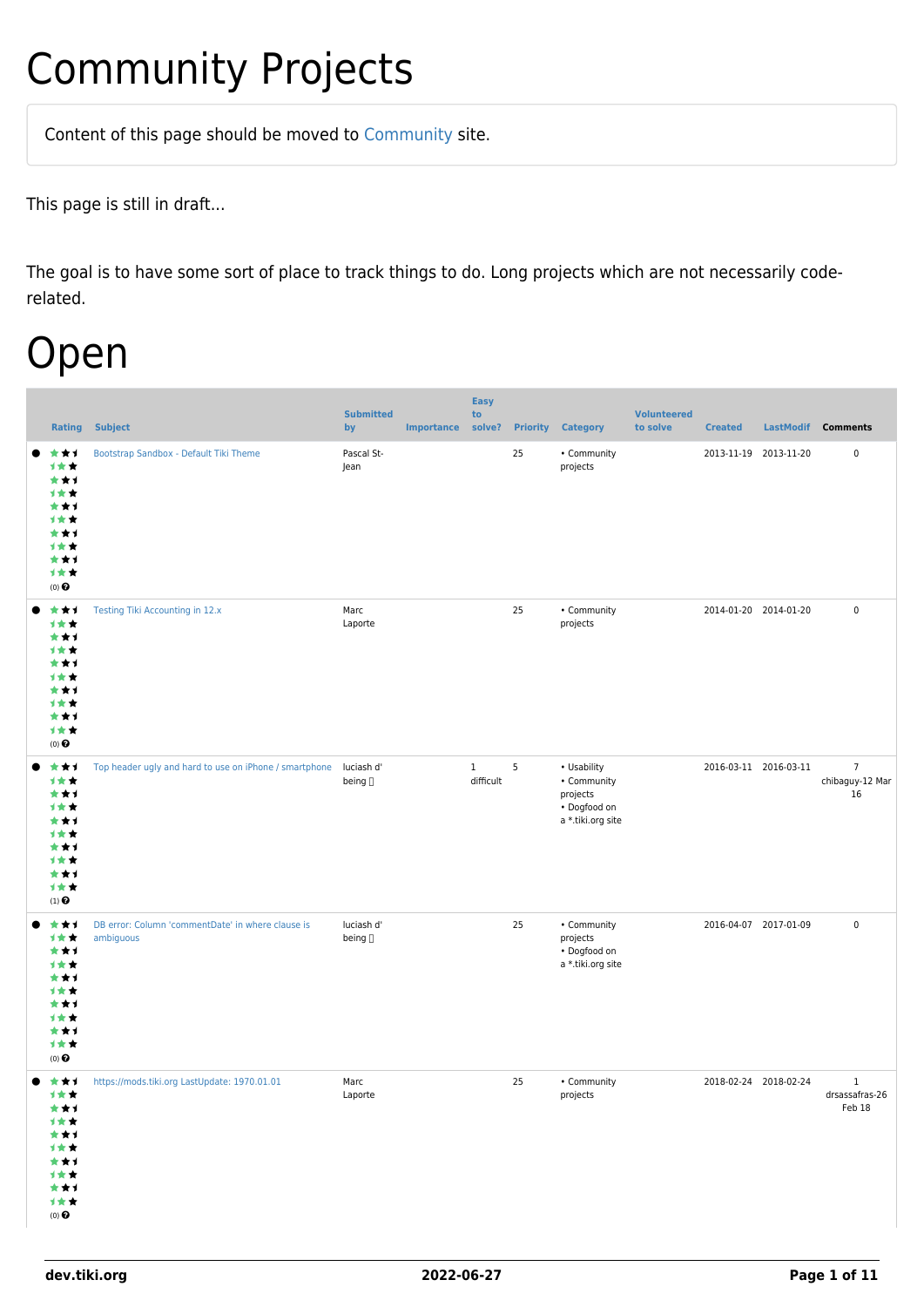## Community Projects

Content of this page should be [moved](https://dev.tiki.org/tiki-editpage.php?page=moved) to [Community](http://tiki.org/Community) site.

This page is still in draft...

The goal is to have some sort of place to track things to do. Long projects which are not necessarily coderelated.

## Open

|                                                                                               | <b>Rating Subject</b>                                             | <b>Submitted</b><br>by | <b>Importance</b> | <b>Easy</b><br>to<br>solve? | <b>Priority</b> | <b>Category</b>                                                             | <b>Volunteered</b><br>to solve | <b>Created</b>        |                       | LastModif Comments                       |
|-----------------------------------------------------------------------------------------------|-------------------------------------------------------------------|------------------------|-------------------|-----------------------------|-----------------|-----------------------------------------------------------------------------|--------------------------------|-----------------------|-----------------------|------------------------------------------|
| ***<br>1★★<br>***<br>计女女<br>***<br>计女女<br>***<br>计女女<br>***<br>计女女<br>$(0)$ $\odot$           | Bootstrap Sandbox - Default Tiki Theme                            | Pascal St-<br>Jean     |                   |                             | 25              | • Community<br>projects                                                     |                                |                       | 2013-11-19 2013-11-20 | $\pmb{0}$                                |
| ***<br>计女女<br>***<br>计女女<br>***<br>计女女<br>***<br>计女女<br>***<br>计女女<br>$(0)$ $\odot$           | Testing Tiki Accounting in 12.x                                   | Marc<br>Laporte        |                   |                             | 25              | • Community<br>projects                                                     |                                |                       | 2014-01-20 2014-01-20 | $\pmb{0}$                                |
| ***<br>计女女<br>***<br>计女女<br>***<br>计女女<br>***<br>计责责<br>***<br>计女女<br>$(1)$ <sup>O</sup>      | Top header ugly and hard to use on iPhone / smartphone luciash d' | being []               |                   | $\mathbf{1}$<br>difficult   | 5               | • Usability<br>• Community<br>projects<br>• Dogfood on<br>a *.tiki.org site |                                |                       | 2016-03-11 2016-03-11 | $\overline{7}$<br>chibaguy-12 Mar<br>16  |
| ***<br>计女女<br>***<br>计女女<br>***<br>1★★<br>***<br>计女女<br>***<br>计女女<br>$(0)$ $\odot$           | DB error: Column 'commentDate' in where clause is<br>ambiguous    | luciash d'<br>being [] |                   |                             | 25              | • Community<br>projects<br>• Dogfood on<br>a *.tiki.org site                |                                | 2016-04-07 2017-01-09 |                       | $\pmb{0}$                                |
| 大大士<br>计女女<br>***<br>计女女<br>***<br>计女女<br>***<br>计女女<br>***<br>计女女<br>$(0)$<br>$\pmb{\Theta}$ | https://mods.tiki.org LastUpdate: 1970.01.01                      | Marc<br>Laporte        |                   |                             | 25              | • Community<br>projects                                                     |                                | 2018-02-24 2018-02-24 |                       | $\mathbf{1}$<br>drsassafras-26<br>Feb 18 |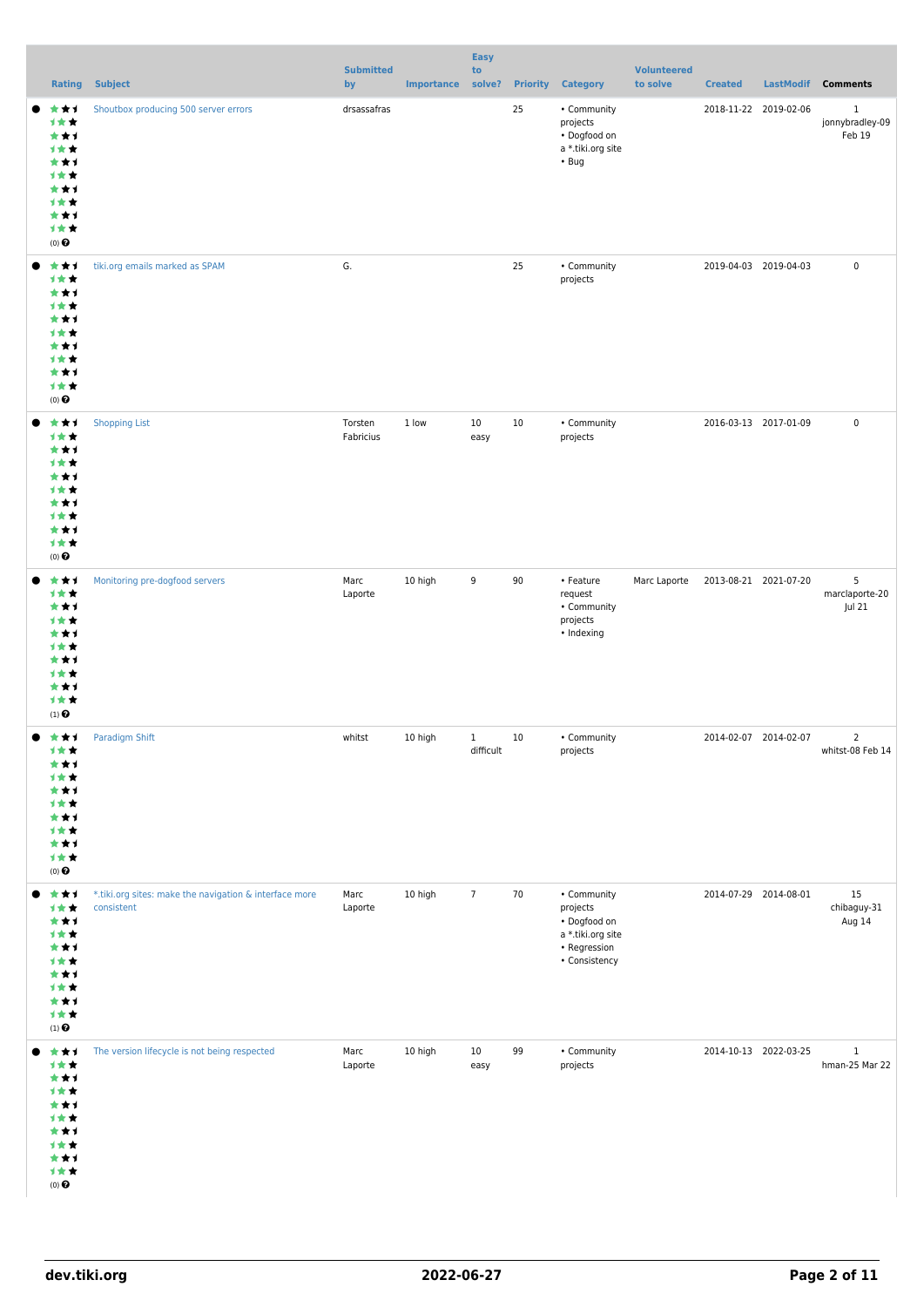|                                                                                                  |                                                                      | <b>Submitted</b>     |                   | <b>Easy</b><br>to         |                 |                                                                                               | <b>Volunteered</b> |                       |                                           |
|--------------------------------------------------------------------------------------------------|----------------------------------------------------------------------|----------------------|-------------------|---------------------------|-----------------|-----------------------------------------------------------------------------------------------|--------------------|-----------------------|-------------------------------------------|
|                                                                                                  | <b>Rating Subject</b>                                                | by                   | Importance solve? |                           | <b>Priority</b> | <b>Category</b>                                                                               | to solve           | <b>Created</b>        | LastModif Comments                        |
| ***<br>计女女<br>***<br>1 <del>*</del><br>***<br>计女女<br>***<br>1 * *<br>***<br>计女女<br>$(0)$ $\odot$ | Shoutbox producing 500 server errors                                 | drsassafras          |                   |                           | 25              | • Community<br>projects<br>• Dogfood on<br>a *.tiki.org site<br>• <sub>Byg</sub>              |                    | 2018-11-22 2019-02-06 | $\mathbf{1}$<br>jonnybradley-09<br>Feb 19 |
| 大大才<br>计女女<br>***<br>计女女<br>***<br>1 * *<br>***<br>计女女<br>***<br>计女女<br>$(0)$ $\odot$            | tiki.org emails marked as SPAM                                       | G.                   |                   |                           | 25              | • Community<br>projects                                                                       |                    | 2019-04-03 2019-04-03 | $\pmb{0}$                                 |
| 大大士<br>计女女<br>***<br>1 * *<br>***<br>计女女<br>***<br>计女女<br>***<br>计女女<br>(0)                      | <b>Shopping List</b>                                                 | Torsten<br>Fabricius | 1 low             | 10<br>easy                | 10              | • Community<br>projects                                                                       |                    | 2016-03-13 2017-01-09 | $\pmb{0}$                                 |
| ***<br>计女女<br>***<br>计女女<br>***<br>1 * *<br>***<br>计女女<br>***<br>计女女<br>$(1)$ $\odot$            | Monitoring pre-dogfood servers                                       | Marc<br>Laporte      | 10 high           | 9                         | 90              | • Feature<br>request<br>• Community<br>projects<br>• Indexing                                 | Marc Laporte       | 2013-08-21 2021-07-20 | 5<br>marclaporte-20<br>Jul 21             |
| 大大士<br>计女女<br>***<br>1 * *<br>***<br>计女女<br>***<br>计女女<br>***<br>计女女<br>$(0)$ $\odot$            | <b>Paradigm Shift</b>                                                | whitst               | 10 high           | $\mathbf{1}$<br>difficult | 10              | • Community<br>projects                                                                       |                    | 2014-02-07 2014-02-07 | $\overline{2}$<br>whitst-08 Feb 14        |
| 大大才<br>计女女<br>***<br>计女女<br>***<br><b>1**</b><br>***<br>计女女<br>***<br>计女女<br>$(1)$ $\odot$       | *.tiki.org sites: make the navigation & interface more<br>consistent | Marc<br>Laporte      | 10 high           | $7\overline{ }$           | 70              | • Community<br>projects<br>· Dogfood on<br>a *.tiki.org site<br>• Regression<br>• Consistency |                    | 2014-07-29 2014-08-01 | 15<br>chibaguy-31<br>Aug 14               |
| 大大士<br>计女女<br>***<br><b>1**</b><br>***<br>计女女<br>***<br>计女女<br>***<br>计女女<br>$(0)$ $\odot$       | The version lifecycle is not being respected                         | Marc<br>Laporte      | 10 high           | $10\,$<br>easy            | 99              | • Community<br>projects                                                                       |                    | 2014-10-13 2022-03-25 | $\mathbf 1$<br>hman-25 Mar 22             |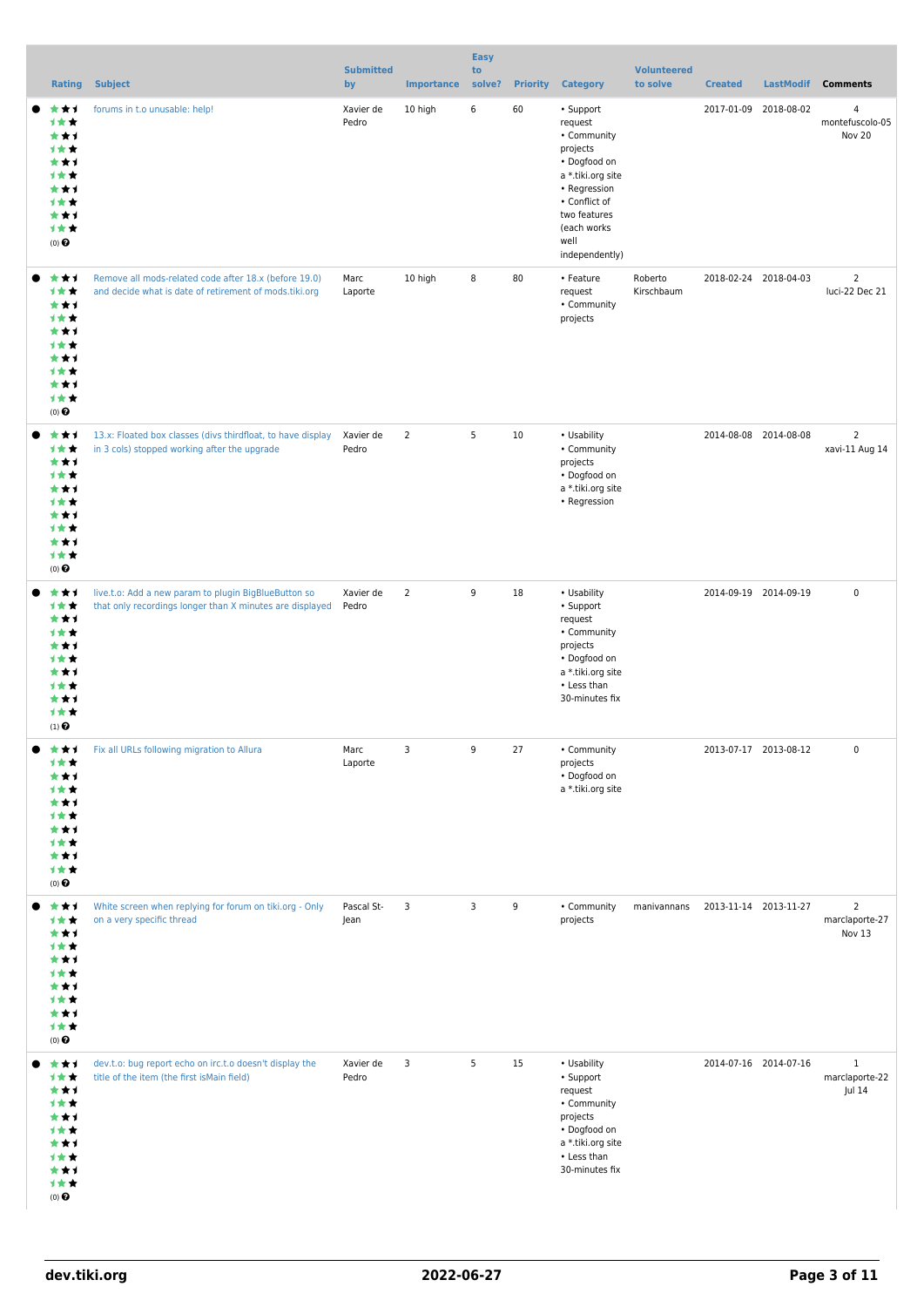|                                                                                                             |                                                                                                                  | <b>Submitted</b>   |                   | <b>Easy</b><br>to |                 |                                                                                                                                                                                | <b>Volunteered</b>    |                       |                  |                                             |
|-------------------------------------------------------------------------------------------------------------|------------------------------------------------------------------------------------------------------------------|--------------------|-------------------|-------------------|-----------------|--------------------------------------------------------------------------------------------------------------------------------------------------------------------------------|-----------------------|-----------------------|------------------|---------------------------------------------|
| <b>Rating</b>                                                                                               | <b>Subject</b>                                                                                                   | by                 | <b>Importance</b> | solve?            | <b>Priority</b> | <b>Category</b>                                                                                                                                                                | to solve              | <b>Created</b>        | <b>LastModif</b> | <b>Comments</b>                             |
| ***<br>1 * *<br>***<br>1 * *<br>***<br>1 * *<br>***<br>1★★<br>***<br>计女女<br>(0)                             | forums in t.o unusable: help!                                                                                    | Xavier de<br>Pedro | 10 high           | 6                 | 60              | • Support<br>request<br>• Community<br>projects<br>• Dogfood on<br>a *.tiki.org site<br>• Regression<br>• Conflict of<br>two features<br>(each works<br>well<br>independently) |                       | 2017-01-09 2018-08-02 |                  | $\overline{4}$<br>montefuscolo-05<br>Nov 20 |
| ***<br>1★★<br>***<br>计女女<br>***<br>1 * *<br>***<br>计女女<br>***<br>计女女<br>(0)                                 | Remove all mods-related code after 18.x (before 19.0)<br>and decide what is date of retirement of mods.tiki.org  | Marc<br>Laporte    | 10 high           | 8                 | 80              | • Feature<br>request<br>• Community<br>projects                                                                                                                                | Roberto<br>Kirschbaum | 2018-02-24 2018-04-03 |                  | $\overline{2}$<br>luci-22 Dec 21            |
| ***<br>计女女<br>***<br>计女女<br>***<br>计女女<br>***<br>1 * *<br>***<br>计女女<br>(0)                                 | 13.x: Floated box classes (divs thirdfloat, to have display<br>in 3 cols) stopped working after the upgrade      | Xavier de<br>Pedro | $\overline{2}$    | 5                 | 10              | • Usability<br>• Community<br>projects<br>· Dogfood on<br>a *.tiki.org site<br>• Regression                                                                                    |                       | 2014-08-08 2014-08-08 |                  | $\overline{2}$<br>xavi-11 Aug 14            |
| ***<br>计女女<br>***<br>计女女<br>***<br>1 * *<br>***<br>计女女<br>***<br>计女女<br>$(1)$ <sup><math>\odot</math></sup> | live.t.o: Add a new param to plugin BigBlueButton so<br>that only recordings longer than X minutes are displayed | Xavier de<br>Pedro | $\overline{2}$    | 9                 | 18              | • Usability<br>• Support<br>request<br>• Community<br>projects<br>• Dogfood on<br>a *.tiki.org site<br>• Less than<br>30-minutes fix                                           |                       | 2014-09-19 2014-09-19 |                  | $\mathsf 0$                                 |
| ***<br>计女女<br>*1<br>1 * *<br>***<br>计女女<br>***<br>计女女<br>***<br>计女女<br>$(0)$ $\odot$                        | Fix all URLs following migration to Allura                                                                       | Marc<br>Laporte    | 3                 | 9                 | 27              | • Community<br>projects<br>• Dogfood on<br>a *.tiki.org site                                                                                                                   |                       | 2013-07-17 2013-08-12 |                  | $\pmb{0}$                                   |
| ***<br>计女女<br>***<br>计女女<br>***<br>计女女<br>***<br>计女女<br>***<br>计女女<br>$(0)$ $\Theta$                        | White screen when replying for forum on tiki.org - Only<br>on a very specific thread                             | Pascal St-<br>Jean | 3                 | 3                 | 9               | • Community<br>projects                                                                                                                                                        | manivannans           | 2013-11-14 2013-11-27 |                  | $\overline{2}$<br>marclaporte-27<br>Nov 13  |
| ***<br>计女女<br>***<br>计女女<br>***<br>计女女<br>***<br>1 * *<br>***<br>计女女<br>$(0)$ $\odot$                       | dev.t.o: bug report echo on irc.t.o doesn't display the<br>title of the item (the first is Main field)           | Xavier de<br>Pedro | 3                 | 5                 | 15              | • Usability<br>• Support<br>request<br>• Community<br>projects<br>• Dogfood on<br>a *.tiki.org site<br>• Less than<br>30-minutes fix                                           |                       | 2014-07-16 2014-07-16 |                  | $\mathbf{1}$<br>marclaporte-22<br>Jul 14    |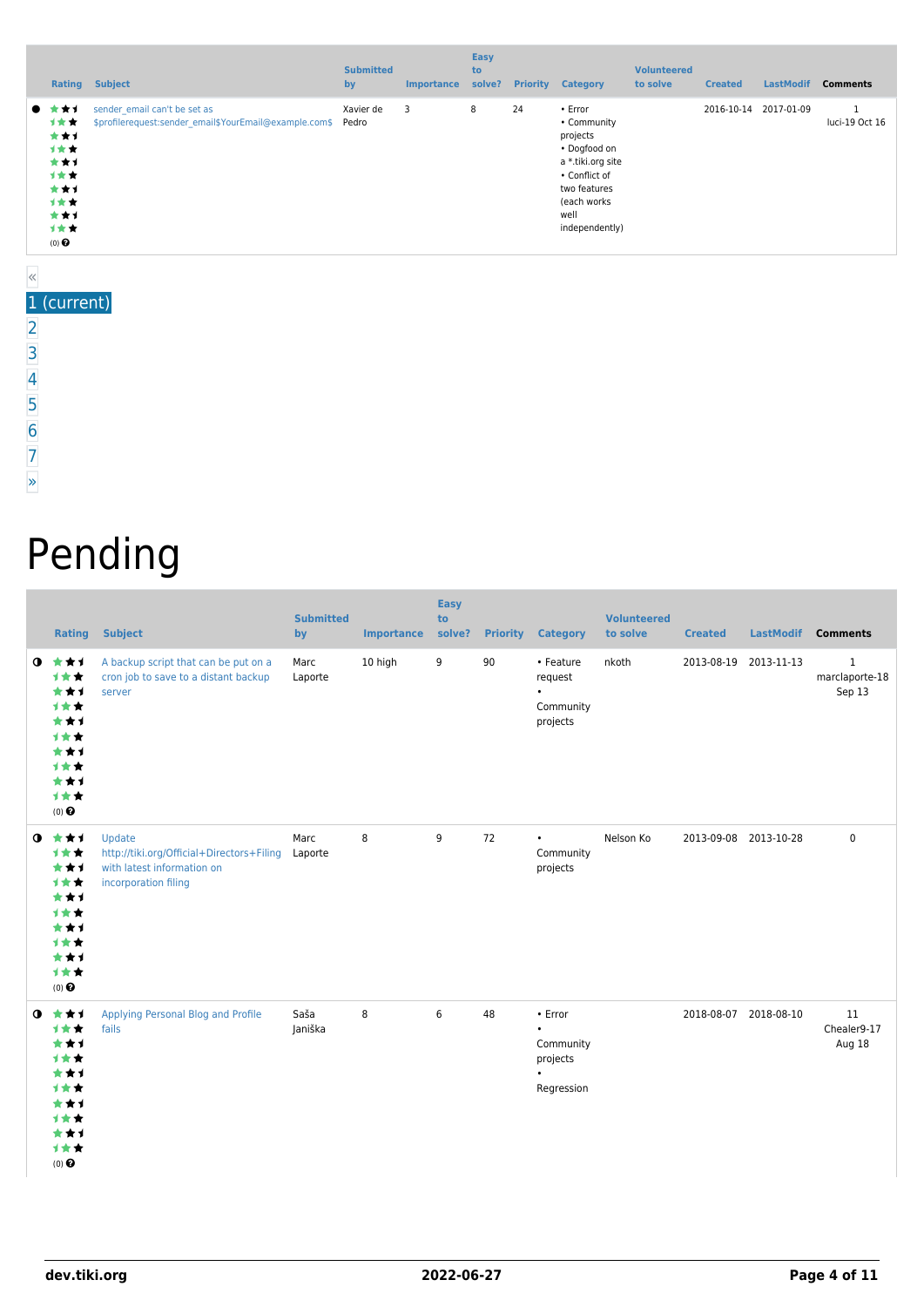| Rating                                                                      | <b>Subject</b>                                                                               | <b>Submitted</b><br>by | <b>Importance</b> | <b>Easy</b><br>to<br>solve? | <b>Priority</b> | <b>Category</b>                                                                                                                                   | <b>Volunteered</b><br>to solve | <b>Created</b> | <b>LastModif</b> | <b>Comments</b> |
|-----------------------------------------------------------------------------|----------------------------------------------------------------------------------------------|------------------------|-------------------|-----------------------------|-----------------|---------------------------------------------------------------------------------------------------------------------------------------------------|--------------------------------|----------------|------------------|-----------------|
| ● ★★1<br>计女女<br>***<br>计女女<br>***<br>计女女<br>***<br>计女女<br>***<br>计女女<br>(0) | sender email can't be set as<br>\$profilerequest:sender email\$YourEmail@example.com\$ Pedro | Xavier de              | $\overline{3}$    | 8                           | 24              | • Error<br>• Community<br>projects<br>• Dogfood on<br>a *.tiki.org site<br>• Conflict of<br>two features<br>(each works<br>well<br>independently) |                                | 2016-10-14     | 2017-01-09       | luci-19 Oct 16  |

## «

- 1 (current)
- [2](https://dev.tiki.org/tiki-print.php?tr_sort_mode1=f_41_asc&page=Community+Projects&tr_offset1=20) [3](https://dev.tiki.org/tiki-print.php?tr_sort_mode1=f_41_asc&page=Community+Projects&tr_offset1=40) [4](https://dev.tiki.org/tiki-print.php?tr_sort_mode1=f_41_asc&page=Community+Projects&tr_offset1=60) [5](https://dev.tiki.org/tiki-print.php?tr_sort_mode1=f_41_asc&page=Community+Projects&tr_offset1=80)
- 
- [6](https://dev.tiki.org/tiki-print.php?tr_sort_mode1=f_41_asc&page=Community+Projects&tr_offset1=100)
- [7](https://dev.tiki.org/tiki-print.php?tr_sort_mode1=f_41_asc&page=Community+Projects&tr_offset1=120)
- [»](https://dev.tiki.org/tiki-print.php?tr_sort_mode1=f_41_asc&page=Community+Projects&tr_offset1=20)
- Pending

|           | Rating                                                                               | <b>Subject</b>                                                                                                    | <b>Submitted</b><br>by | <b>Importance</b> | <b>Easy</b><br>to<br>solve? |    | <b>Priority Category</b>                                                       | <b>Volunteered</b><br>to solve | <b>Created</b> | <b>LastModif</b>      | <b>Comments</b>                          |
|-----------|--------------------------------------------------------------------------------------|-------------------------------------------------------------------------------------------------------------------|------------------------|-------------------|-----------------------------|----|--------------------------------------------------------------------------------|--------------------------------|----------------|-----------------------|------------------------------------------|
| $\bullet$ | ***<br>计女女<br>***<br>1★★<br>***<br>1★★<br>***<br>1★★<br>***<br>1★★<br>$(0)$ $\Theta$ | A backup script that can be put on a<br>cron job to save to a distant backup<br>server                            | Marc<br>Laporte        | 10 high           | 9                           | 90 | • Feature<br>request<br>$\bullet$<br>Community<br>projects                     | nkoth                          |                | 2013-08-19 2013-11-13 | $\mathbf{1}$<br>marclaporte-18<br>Sep 13 |
| $\bullet$ | ***<br>1★★<br>***<br>1★★<br>***<br>1女女<br>***<br>1★★<br>***<br>1★★<br>$(0)$ $\Theta$ | Update<br>http://tiki.org/Official+Directors+Filing Laporte<br>with latest information on<br>incorporation filing | Marc                   | 8                 | 9                           | 72 | $\bullet$<br>Community<br>projects                                             | Nelson Ko                      |                | 2013-09-08 2013-10-28 | $\mathbf 0$                              |
| $\bullet$ | ***<br>1★★<br>***<br>计女女<br>***<br>计女女<br>***<br>***<br>***<br>计女女<br>$(0)$ $\odot$  | Applying Personal Blog and Profile<br>fails                                                                       | Saša<br>Janiška        | 8                 | 6                           | 48 | $\cdot$ Error<br>$\bullet$<br>Community<br>projects<br>$\bullet$<br>Regression |                                |                | 2018-08-07 2018-08-10 | 11<br>Chealer9-17<br>Aug 18              |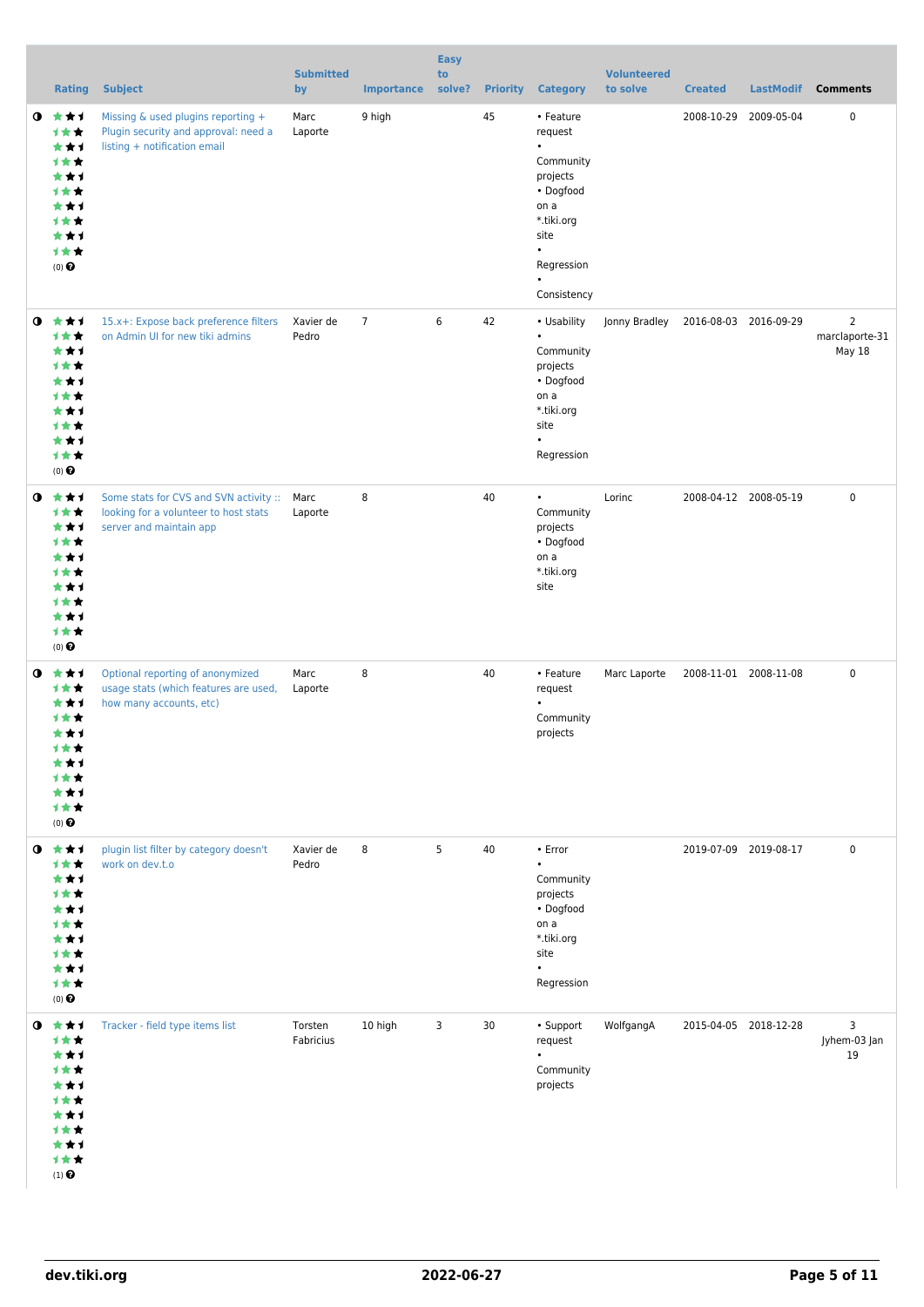|           | <b>Rating</b>                                                                                     | <b>Subject</b>                                                                                                  | <b>Submitted</b><br>by | <b>Importance</b> | <b>Easy</b><br>to<br>solve? |    | <b>Priority Category</b>                                                                                                                                     | <b>Volunteered</b><br>to solve | <b>Created</b> | <b>LastModif</b>      | <b>Comments</b>                            |
|-----------|---------------------------------------------------------------------------------------------------|-----------------------------------------------------------------------------------------------------------------|------------------------|-------------------|-----------------------------|----|--------------------------------------------------------------------------------------------------------------------------------------------------------------|--------------------------------|----------------|-----------------------|--------------------------------------------|
| $\bullet$ | ***<br><b>1★★</b><br>***<br><b>1**</b><br>***<br>1★★<br>***<br>计女女<br>***<br>计女女<br>$(0)$ $\odot$ | Missing & used plugins reporting +<br>Plugin security and approval: need a<br>listing + notification email      | Marc<br>Laporte        | 9 high            |                             | 45 | • Feature<br>request<br>$\bullet$<br>Community<br>projects<br>• Dogfood<br>on a<br>*.tiki.org<br>site<br>$\bullet$<br>Regression<br>$\bullet$<br>Consistency |                                |                | 2008-10-29 2009-05-04 | 0                                          |
| $\bullet$ | ***<br>1★★<br>***<br>计女女<br>***<br><b>1**</b><br>***<br>计女女<br>***<br>计女女<br>$(0)$ $\odot$        | 15.x+: Expose back preference filters<br>on Admin UI for new tiki admins                                        | Xavier de<br>Pedro     | $\overline{7}$    | 6                           | 42 | • Usability<br>$\bullet$<br>Community<br>projects<br>• Dogfood<br>on a<br>*.tiki.org<br>site<br>$\bullet$<br>Regression                                      | Jonny Bradley                  |                | 2016-08-03 2016-09-29 | $\overline{2}$<br>marclaporte-31<br>May 18 |
| $\bullet$ | ***<br>计女女<br>***<br>计女女<br>***<br><b>1**</b><br>***<br>1★★<br>***<br>计女女<br>$(0)$ $\odot$        | Some stats for CVS and SVN activity :: Marc<br>looking for a volunteer to host stats<br>server and maintain app | Laporte                | 8                 |                             | 40 | $\bullet$<br>Community<br>projects<br>• Dogfood<br>on a<br>*.tiki.org<br>site                                                                                | Lorinc                         |                | 2008-04-12 2008-05-19 | $\mathbf 0$                                |
| $\bullet$ | ***<br>计女女<br>***<br><b>1**</b><br>***<br>计女女<br>***<br>1★★<br>***<br>计女女<br>$(0)$ $\odot$        | Optional reporting of anonymized<br>usage stats (which features are used,<br>how many accounts, etc)            | Marc<br>Laporte        | 8                 |                             | 40 | • Feature<br>request<br>$\bullet$<br>Community<br>projects                                                                                                   | Marc Laporte                   |                | 2008-11-01 2008-11-08 | $\mathbf 0$                                |
| $\bullet$ | ***<br><b>1★★</b><br>***<br>计女女<br>***<br>计女女<br>***<br>计女女<br>***<br>计女女<br>$(0)$ $\Theta$       | plugin list filter by category doesn't<br>work on dev.t.o                                                       | Xavier de<br>Pedro     | 8                 | 5                           | 40 | • Error<br>$\bullet$<br>Community<br>projects<br>• Dogfood<br>on a<br>*.tiki.org<br>site<br>$\bullet$<br>Regression                                          |                                |                | 2019-07-09 2019-08-17 | 0                                          |
|           | $0$ $*$ $*$ $*$<br>计女女<br>***<br>计女女<br>***<br>计女女<br>***<br>计女女<br>***<br>1★★<br>$(1)$ $\odot$   | Tracker - field type items list                                                                                 | Torsten<br>Fabricius   | 10 high           | 3                           | 30 | • Support<br>request<br>$\bullet$<br>Community<br>projects                                                                                                   | WolfgangA                      |                | 2015-04-05 2018-12-28 | 3<br>Jyhem-03 Jan<br>19                    |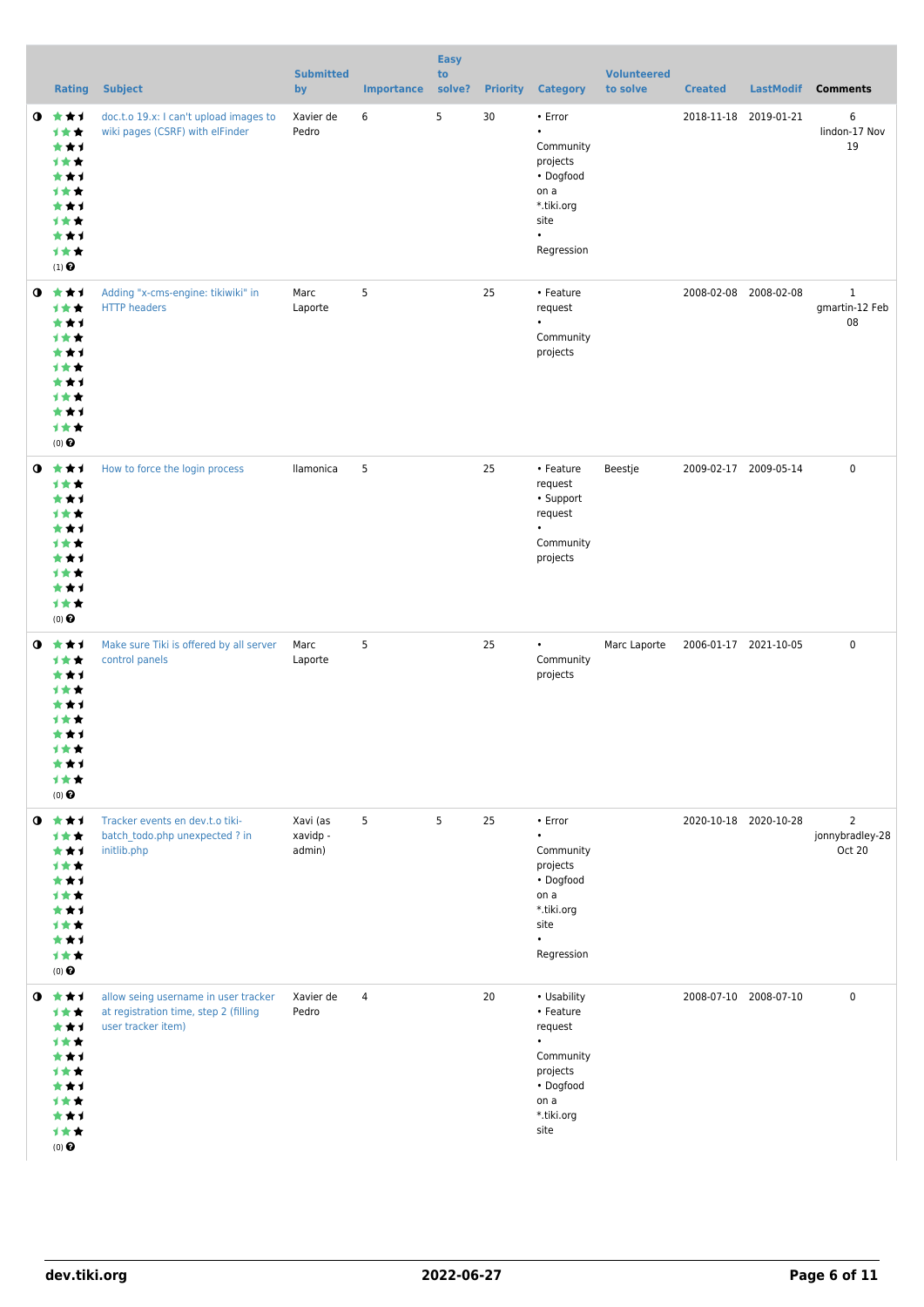|           | Rating                                                                                                          | <b>Subject</b>                                                                                      | <b>Submitted</b><br>by         | <b>Importance</b> | <b>Easy</b><br>to<br>solve? | <b>Priority</b> | <b>Category</b>                                                                                                      | <b>Volunteered</b><br>to solve | <b>Created</b>        | <b>LastModif</b>      | <b>Comments</b>                             |
|-----------|-----------------------------------------------------------------------------------------------------------------|-----------------------------------------------------------------------------------------------------|--------------------------------|-------------------|-----------------------------|-----------------|----------------------------------------------------------------------------------------------------------------------|--------------------------------|-----------------------|-----------------------|---------------------------------------------|
|           | $0 \star \star \star$<br>计女女<br>***<br>计女女<br>***<br>计女女<br>***<br>计女女<br>***<br>计女女<br>$(1)$<br>$\pmb{\Theta}$ | doc.t.o 19.x: I can't upload images to<br>wiki pages (CSRF) with elFinder                           | Xavier de<br>Pedro             | 6                 | 5                           | 30              | • Error<br>$\bullet$<br>Community<br>projects<br>• Dogfood<br>on a<br>*.tiki.org<br>site<br>$\bullet$<br>Regression  |                                | 2018-11-18 2019-01-21 |                       | 6<br>lindon-17 Nov<br>19                    |
|           | $0 \star \star \star$<br>1★★<br>***<br>计女女<br>***<br>计女女<br>***<br>计女女<br>***<br>计女女<br>$(0)$ $\odot$           | Adding "x-cms-engine: tikiwiki" in<br><b>HTTP</b> headers                                           | Marc<br>Laporte                | 5                 |                             | 25              | • Feature<br>request<br>$\bullet$<br>Community<br>projects                                                           |                                | 2008-02-08 2008-02-08 |                       | $\mathbf{1}$<br>gmartin-12 Feb<br>08        |
| ◑         | 食食す<br>计女女<br>***<br>计女女<br>***<br>计女女<br>***<br>计女女<br>***<br>计女女<br>$(0)$ $\odot$                             | How to force the login process                                                                      | llamonica                      | 5                 |                             | 25              | • Feature<br>request<br>• Support<br>request<br>$\bullet$<br>Community<br>projects                                   | Beestje                        | 2009-02-17 2009-05-14 |                       | $\mathbf 0$                                 |
| $\bullet$ | ***<br><b>1★★</b><br>***<br>计女女<br>★★1<br><b>1 ★ ★</b><br>***<br>计女女<br>***<br>计女女<br>$(0)$ $\odot$             | Make sure Tiki is offered by all server<br>control panels                                           | Marc<br>Laporte                | 5                 |                             | 25              | $\bullet$<br>Community<br>projects                                                                                   | Marc Laporte                   | 2006-01-17 2021-10-05 |                       | $\mathbf 0$                                 |
| $\bullet$ | ***<br>计女女<br>***<br>计女女<br>***<br>计女女<br>***<br>计女女<br>***<br>计女女<br>$(0)$ $\odot$                             | Tracker events en dev.t.o tiki-<br>batch todo.php unexpected ? in<br>initlib.php                    | Xavi (as<br>xavidp -<br>admin) | 5                 | 5                           | 25              | • Error<br>$\bullet$<br>Community<br>projects<br>• Dogfood<br>on a<br>*.tiki.org<br>site<br>$\bullet$<br>Regression  |                                |                       | 2020-10-18 2020-10-28 | $\overline{2}$<br>jonnybradley-28<br>Oct 20 |
| $\bullet$ | ***<br>计女女<br>***<br>计女女<br>***<br>计女女<br>***<br><b>1**</b><br>***<br>计女女<br>$(0)$ $\Theta$                     | allow seing username in user tracker<br>at registration time, step 2 (filling<br>user tracker item) | Xavier de<br>Pedro             | 4                 |                             | 20              | • Usability<br>• Feature<br>request<br>$\bullet$<br>Community<br>projects<br>• Dogfood<br>on a<br>*.tiki.org<br>site |                                | 2008-07-10 2008-07-10 |                       | 0                                           |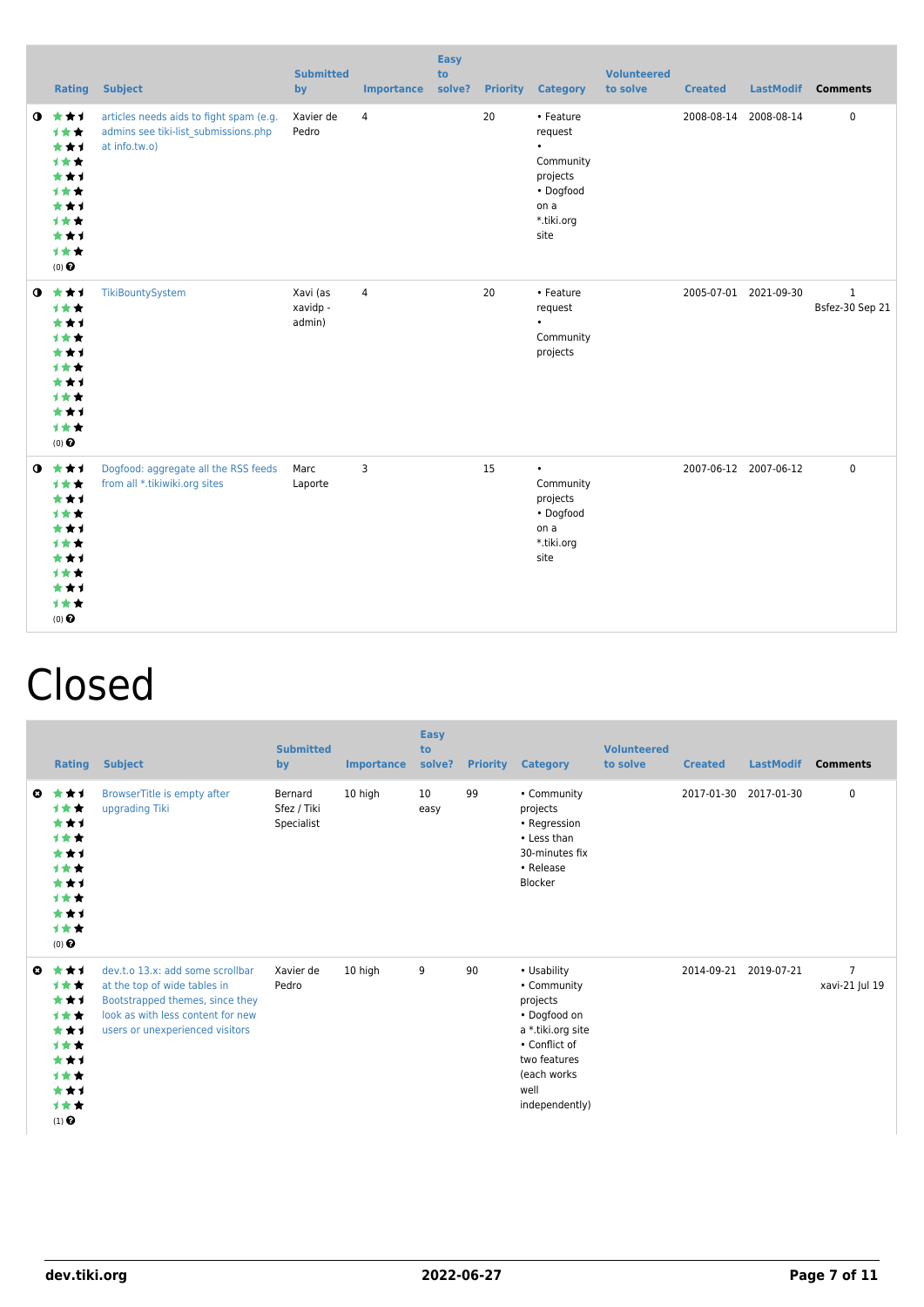|           |                                                                                                       | <b>Rating Subject</b>                                                                            | <b>Submitted</b><br>by         | <b>Importance</b> | <b>Easy</b><br>to<br>solve? |    | <b>Priority Category</b>                                                                              | <b>Volunteered</b><br>to solve | <b>Created</b> |                       | LastModif Comments              |
|-----------|-------------------------------------------------------------------------------------------------------|--------------------------------------------------------------------------------------------------|--------------------------------|-------------------|-----------------------------|----|-------------------------------------------------------------------------------------------------------|--------------------------------|----------------|-----------------------|---------------------------------|
| $\bullet$ | 大大大<br>1★★<br>***<br>***<br>***<br>1★★<br>***<br>1★★<br>***<br>1★★<br>$(0)$ $\Theta$                  | articles needs aids to fight spam (e.g.<br>admins see tiki-list submissions.php<br>at info.tw.o) | Xavier de<br>Pedro             | $\overline{4}$    |                             | 20 | • Feature<br>request<br>$\bullet$<br>Community<br>projects<br>• Dogfood<br>on a<br>*.tiki.org<br>site |                                |                | 2008-08-14 2008-08-14 | 0                               |
|           | $0$ $\star\star\star$<br>1★★<br>***<br>1★★<br>***<br>1★★<br>***<br>1★★<br>***<br>1★★<br>$(0)$ $\odot$ | TikiBountySystem                                                                                 | Xavi (as<br>xavidp -<br>admin) | $\overline{4}$    |                             | 20 | • Feature<br>request<br>$\bullet$<br>Community<br>projects                                            |                                |                | 2005-07-01 2021-09-30 | $\mathbf{1}$<br>Bsfez-30 Sep 21 |
|           | $0 \star \star \star$<br>1★★<br>***<br>1★★<br>***<br>1女女<br>***<br>***<br>***<br>1★★<br>$(0)$ $\odot$ | Dogfood: aggregate all the RSS feeds<br>from all *.tikiwiki.org sites                            | Marc<br>Laporte                | 3                 |                             | 15 | $\bullet$<br>Community<br>projects<br>• Dogfood<br>on a<br>*.tiki.org<br>site                         |                                |                | 2007-06-12 2007-06-12 | 0                               |

## Closed

|                       | <b>Rating</b>                                                                              | <b>Subject</b>                                                                                                                                                              | <b>Submitted</b><br>by               | Importance | <b>Easy</b><br>to<br>solve? | <b>Priority</b> | <b>Category</b>                                                                                                                                       | <b>Volunteered</b><br>to solve | <b>Created</b> | <b>LastModif</b> | <b>Comments</b>                  |
|-----------------------|--------------------------------------------------------------------------------------------|-----------------------------------------------------------------------------------------------------------------------------------------------------------------------------|--------------------------------------|------------|-----------------------------|-----------------|-------------------------------------------------------------------------------------------------------------------------------------------------------|--------------------------------|----------------|------------------|----------------------------------|
| $\boldsymbol{\omega}$ | ***<br>计女女<br>***<br>***<br>***<br><b>1**</b><br>***<br>计女女<br>***<br>计女女<br>$(0)$ $\odot$ | BrowserTitle is empty after<br>upgrading Tiki                                                                                                                               | Bernard<br>Sfez / Tiki<br>Specialist | 10 high    | 10<br>easy                  | 99              | • Community<br>projects<br>• Regression<br>• Less than<br>30-minutes fix<br>• Release<br>Blocker                                                      |                                | 2017-01-30     | 2017-01-30       | 0                                |
| O                     | ***<br>***<br>***<br><b>1**</b><br>***<br>***<br>***<br>***<br>***<br>***<br>$(1)$ $\odot$ | dev.t.o 13.x: add some scrollbar<br>at the top of wide tables in<br>Bootstrapped themes, since they<br>look as with less content for new<br>users or unexperienced visitors | Xavier de<br>Pedro                   | 10 high    | 9                           | 90              | • Usability<br>• Community<br>projects<br>• Dogfood on<br>a *.tiki.org site<br>• Conflict of<br>two features<br>(each works<br>well<br>independently) |                                | 2014-09-21     | 2019-07-21       | $\overline{7}$<br>xavi-21 Jul 19 |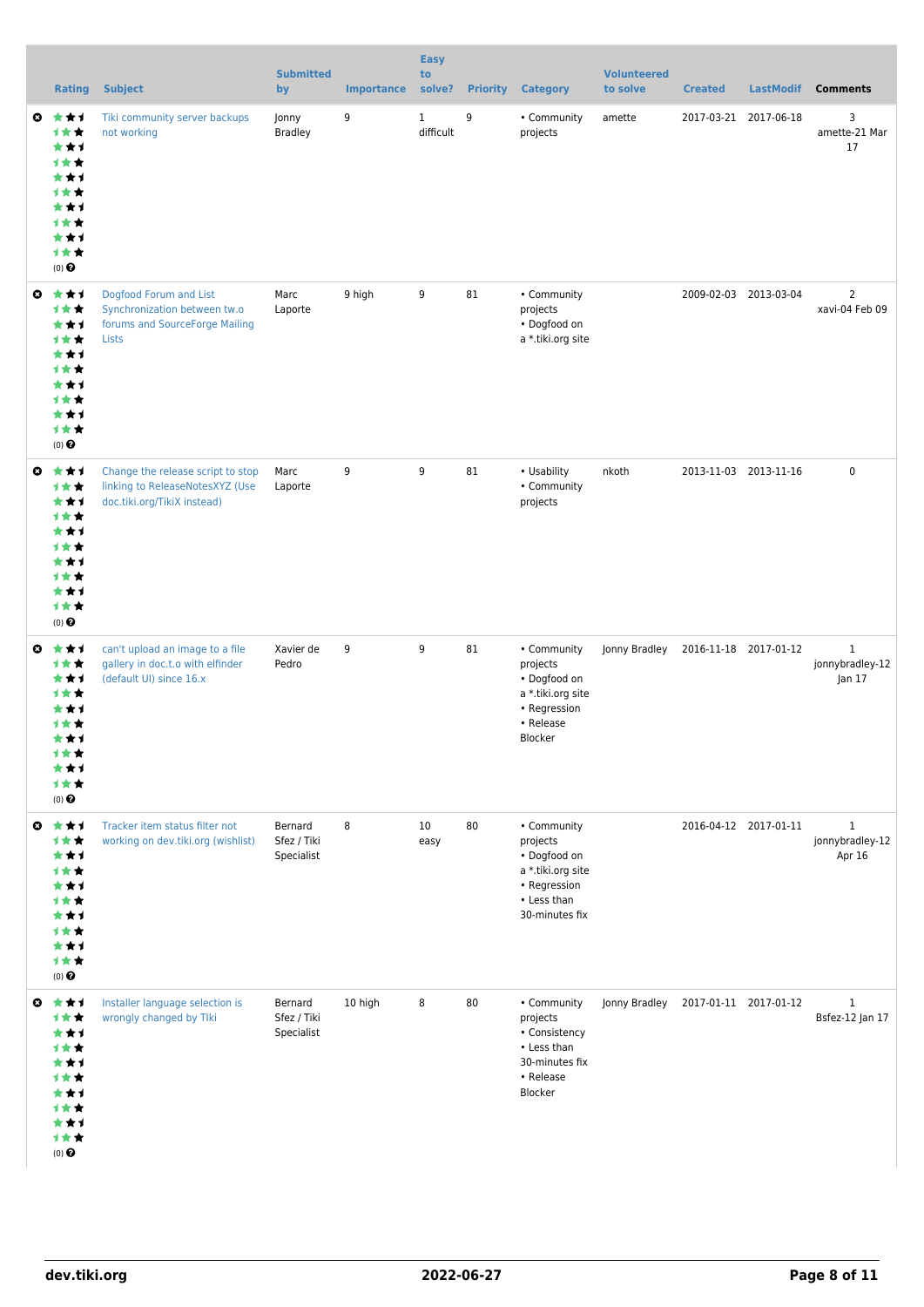|                       | <b>Rating</b>                                                                                       | <b>Subject</b>                                                                                      | <b>Submitted</b><br>by               | <b>Importance</b> | <b>Easy</b><br>to<br>solve? |    | <b>Priority Category</b>                                                                                      | <b>Volunteered</b><br>to solve      | <b>Created</b> | <b>LastModif</b>      | <b>Comments</b>                           |
|-----------------------|-----------------------------------------------------------------------------------------------------|-----------------------------------------------------------------------------------------------------|--------------------------------------|-------------------|-----------------------------|----|---------------------------------------------------------------------------------------------------------------|-------------------------------------|----------------|-----------------------|-------------------------------------------|
| ◒                     | ***<br>计女女<br>***<br>计女女<br>***<br>计女女<br>***<br>1★★<br>***<br>计女女<br>$(0)$ $\Theta$                | Tiki community server backups<br>not working                                                        | Jonny<br><b>Bradley</b>              | 9                 | $\mathbf{1}$<br>difficult   | 9  | • Community<br>projects                                                                                       | amette                              |                | 2017-03-21 2017-06-18 | 3<br>amette-21 Mar<br>17                  |
| ◒                     | ***<br>计女女<br>***<br>计女女<br>***<br>计女女<br>***<br>1★★<br>***<br>计女女<br>(0)                           | Dogfood Forum and List<br>Synchronization between tw.o<br>forums and SourceForge Mailing<br>Lists   | Marc<br>Laporte                      | 9 high            | 9                           | 81 | • Community<br>projects<br>• Dogfood on<br>a *.tiki.org site                                                  |                                     |                | 2009-02-03 2013-03-04 | $\overline{2}$<br>xavi-04 Feb 09          |
| ◒                     | ***<br>***<br>***<br>计女女<br>***<br><b>1★★</b><br>***<br>1★★<br>***<br>计女女<br>$(0)$ $\odot$          | Change the release script to stop<br>linking to ReleaseNotesXYZ (Use<br>doc.tiki.org/TikiX instead) | Marc<br>Laporte                      | 9                 | 9                           | 81 | • Usability<br>• Community<br>projects                                                                        | nkoth                               |                | 2013-11-03 2013-11-16 | $\pmb{0}$                                 |
| $\boldsymbol{\omega}$ | ***<br>计女女<br>***<br>计女女<br>***<br>计女女<br>***<br>计女女<br>★★1<br>1★★<br>$(0)$ $\odot$                 | can't upload an image to a file<br>gallery in doc.t.o with elfinder<br>(default UI) since 16.x      | Xavier de<br>Pedro                   | 9                 | 9                           | 81 | • Community<br>projects<br>• Dogfood on<br>a *.tiki.org site<br>• Regression<br>• Release<br>Blocker          | Jonny Bradley                       |                | 2016-11-18 2017-01-12 | $\mathbf{1}$<br>jonnybradley-12<br>Jan 17 |
| $\boldsymbol{\omega}$ | ***<br>计女女<br>***<br>计女女<br>***<br>计女女<br>***<br>计女女<br>***<br>计女女<br>(0)                           | Tracker item status filter not<br>working on dev.tiki.org (wishlist)                                | Bernard<br>Sfez / Tiki<br>Specialist | 8                 | 10<br>easy                  | 80 | • Community<br>projects<br>• Dogfood on<br>a *.tiki.org site<br>• Regression<br>• Less than<br>30-minutes fix |                                     |                | 2016-04-12 2017-01-11 | $\mathbf{1}$<br>jonnybradley-12<br>Apr 16 |
|                       | ◎ ★★1<br>计女女<br>***<br>计女女<br>***<br><b>1★★</b><br>***<br><b>1★★</b><br>***<br>计女女<br>$(0)$ $\odot$ | Installer language selection is<br>wrongly changed by Tlki                                          | Bernard<br>Sfez / Tiki<br>Specialist | 10 high           | 8                           | 80 | • Community<br>projects<br>• Consistency<br>• Less than<br>30-minutes fix<br>• Release<br>Blocker             | Jonny Bradley 2017-01-11 2017-01-12 |                |                       | $\mathbf{1}$<br>Bsfez-12 Jan 17           |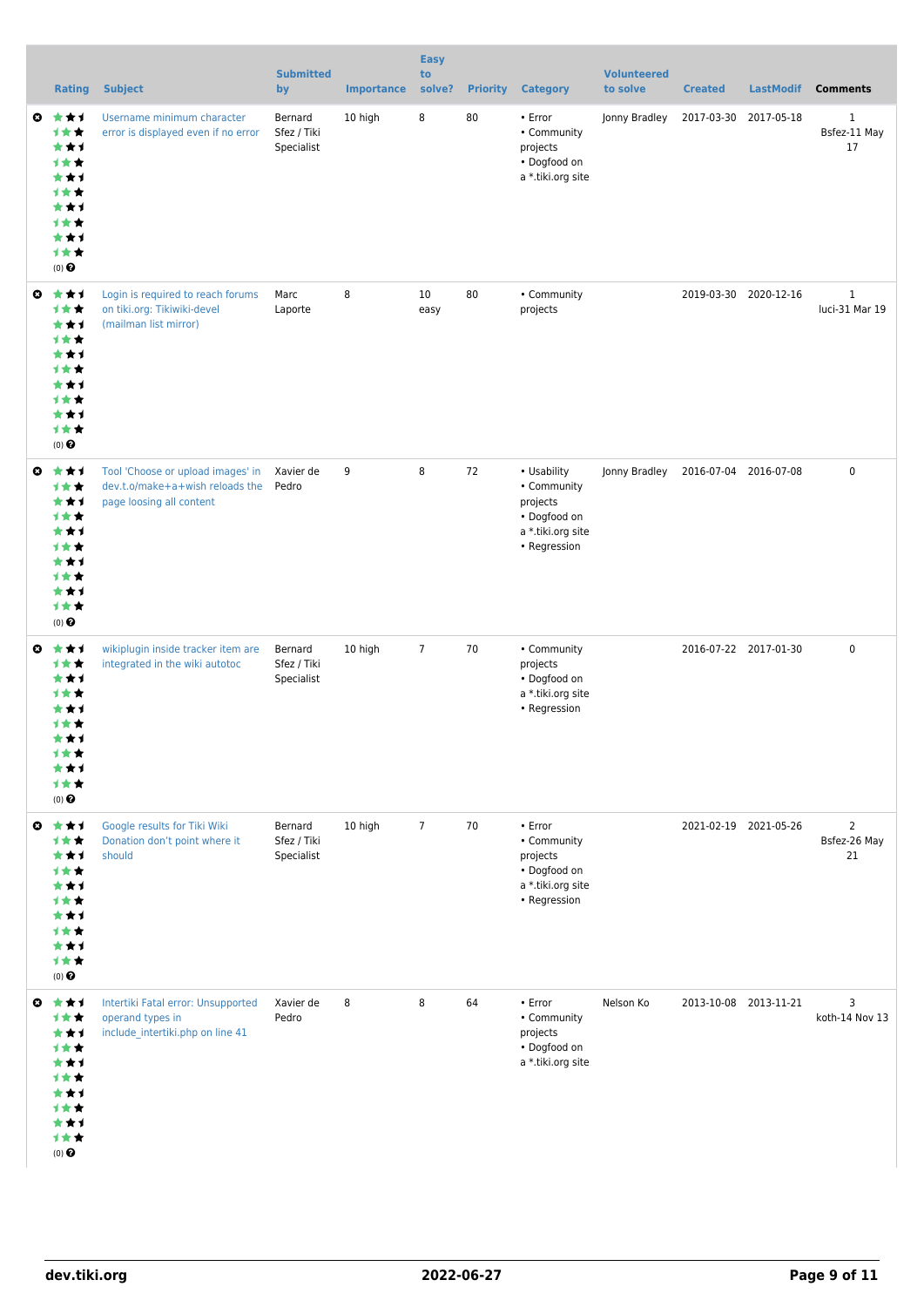|                       | <b>Rating</b>                                                                                     | <b>Subject</b>                                                                                   | <b>Submitted</b><br>by               | <b>Importance</b> | <b>Easy</b><br>to<br>solve? | <b>Priority</b> | <b>Category</b>                                                                             | <b>Volunteered</b><br>to solve | <b>Created</b>        | <b>LastModif</b>      | <b>Comments</b>                      |
|-----------------------|---------------------------------------------------------------------------------------------------|--------------------------------------------------------------------------------------------------|--------------------------------------|-------------------|-----------------------------|-----------------|---------------------------------------------------------------------------------------------|--------------------------------|-----------------------|-----------------------|--------------------------------------|
| o.                    | ***<br>计女女<br>***<br>计女女<br>***<br>1★★<br>***<br>计女女<br>***<br>计女女<br>(0)                         | Username minimum character<br>error is displayed even if no error                                | Bernard<br>Sfez / Tiki<br>Specialist | 10 high           | 8                           | 80              | • Error<br>• Community<br>projects<br>• Dogfood on<br>a *.tiki.org site                     | Jonny Bradley                  | 2017-03-30            | 2017-05-18            | $\mathbf{1}$<br>Bsfez-11 May<br>17   |
| $\boldsymbol{\omega}$ | ***<br>***<br>***<br>计女女<br>***<br>计女女<br>***<br>计女女<br>***<br>计女女<br>(0)                         | Login is required to reach forums<br>on tiki.org: Tikiwiki-devel<br>(mailman list mirror)        | Marc<br>Laporte                      | 8                 | 10<br>easy                  | 80              | • Community<br>projects                                                                     |                                |                       | 2019-03-30 2020-12-16 | $\mathbf{1}$<br>luci-31 Mar 19       |
| $\boldsymbol{\omega}$ | ***<br>计女女<br>***<br>计女女<br>***<br><b>1★★</b><br>***<br><b>1★★</b><br>***<br>计女女<br>(0)           | Tool 'Choose or upload images' in<br>dev.t.o/make+a+wish reloads the<br>page loosing all content | Xavier de<br>Pedro                   | 9                 | 8                           | 72              | • Usability<br>• Community<br>projects<br>• Dogfood on<br>a *.tiki.org site<br>• Regression | Jonny Bradley                  | 2016-07-04 2016-07-08 |                       | $\mathbf 0$                          |
| ◶                     | ***<br>计女女<br>***<br>计女女<br>***<br>计女女<br>***<br>计女女<br>★★1<br>计女女<br>$(0)$ $\pmb{\Theta}$        | wikiplugin inside tracker item are<br>integrated in the wiki autotoc                             | Bernard<br>Sfez / Tiki<br>Specialist | 10 high           | $\overline{7}$              | 70              | • Community<br>projects<br>• Dogfood on<br>a *.tiki.org site<br>• Regression                |                                |                       | 2016-07-22 2017-01-30 | $\mathbf 0$                          |
| $\boldsymbol{\omega}$ | ***<br>计女女<br>***<br><b>1★★</b><br>***<br><b>1★★</b><br>***<br>计女女<br>***<br>计女女<br>$(0)$ $\odot$ | Google results for Tiki Wiki<br>Donation don't point where it<br>should                          | Bernard<br>Sfez / Tiki<br>Specialist | 10 high           | $\overline{7}$              | 70              | • Error<br>• Community<br>projects<br>• Dogfood on<br>a *.tiki.org site<br>• Regression     |                                | 2021-02-19 2021-05-26 |                       | $\overline{2}$<br>Bsfez-26 May<br>21 |
|                       | ◎ ★★1<br>计女女<br>***<br>计女女<br>***<br><b>1★★</b><br>***<br>计女女<br>***<br>计女女<br>$(0)$ $\odot$      | Intertiki Fatal error: Unsupported<br>operand types in<br>include_intertiki.php on line 41       | Xavier de<br>Pedro                   | 8                 | 8                           | 64              | • Error<br>• Community<br>projects<br>• Dogfood on<br>a *.tiki.org site                     | Nelson Ko                      |                       | 2013-10-08 2013-11-21 | 3<br>koth-14 Nov 13                  |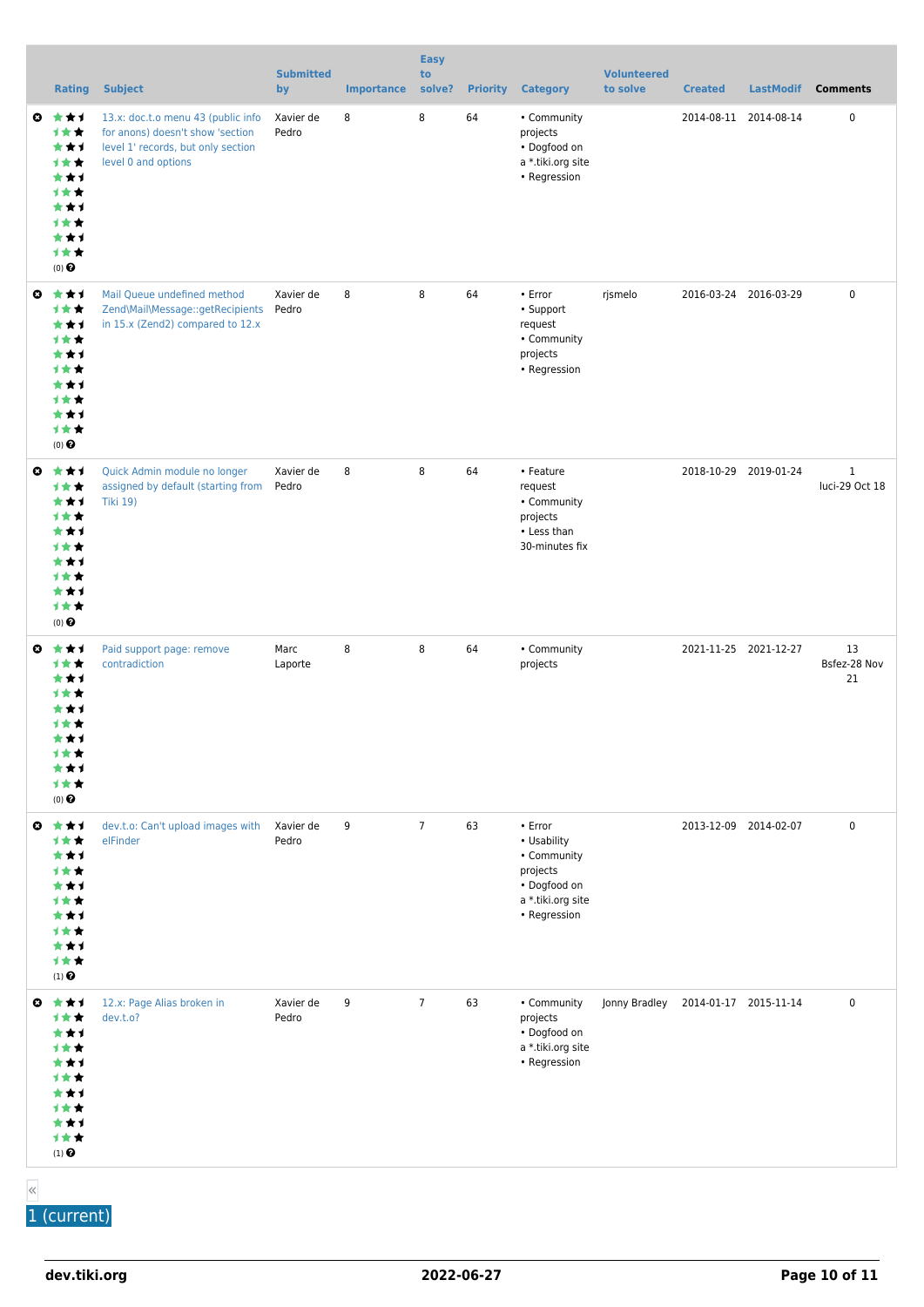|                       | <b>Rating</b>                                                                                             | <b>Subject</b>                                                                                                                      | <b>Submitted</b><br>by | <b>Importance</b> | <b>Easy</b><br>to<br>solve? | <b>Priority</b> | <b>Category</b>                                                                                        | <b>Volunteered</b><br>to solve | <b>Created</b>        | <b>LastModif</b> | <b>Comments</b>                |
|-----------------------|-----------------------------------------------------------------------------------------------------------|-------------------------------------------------------------------------------------------------------------------------------------|------------------------|-------------------|-----------------------------|-----------------|--------------------------------------------------------------------------------------------------------|--------------------------------|-----------------------|------------------|--------------------------------|
| ◒                     | ***<br>计女女<br>***<br>计女女<br>***<br>计女女<br>***<br>计女女<br>***<br>计女女<br>$(0)$ $\Theta$                      | 13.x: doc.t.o menu 43 (public info<br>for anons) doesn't show 'section<br>level 1' records, but only section<br>level 0 and options | Xavier de<br>Pedro     | 8                 | 8                           | 64              | • Community<br>projects<br>• Dogfood on<br>a *.tiki.org site<br>• Regression                           |                                | 2014-08-11 2014-08-14 |                  | 0                              |
| ◒                     | ***<br>***<br>***<br>计女女<br>***<br>计女女<br>***<br>1★★<br>***<br>计女女<br>(0)                                 | Mail Queue undefined method<br>Zend\Mail\Message::getRecipients<br>in 15.x (Zend2) compared to 12.x                                 | Xavier de<br>Pedro     | 8                 | 8                           | 64              | • Error<br>• Support<br>request<br>• Community<br>projects<br>• Regression                             | rjsmelo                        | 2016-03-24 2016-03-29 |                  | $\pmb{0}$                      |
| ◒                     | ***<br>1★★<br>***<br>计女女<br>***<br><b>1★★</b><br>***<br>1★★<br>***<br>计女女<br>$(0)$ $\Theta$               | Quick Admin module no longer<br>assigned by default (starting from<br><b>Tiki 19)</b>                                               | Xavier de<br>Pedro     | 8                 | 8                           | 64              | • Feature<br>request<br>• Community<br>projects<br>• Less than<br>30-minutes fix                       |                                | 2018-10-29 2019-01-24 |                  | $\mathbf{1}$<br>luci-29 Oct 18 |
| o.                    | ***<br>计女女<br>***<br><b>1★★</b><br>***<br>计女女<br>***<br>计女女<br>***<br>1★★<br>$(0)$ $\Theta$               | Paid support page: remove<br>contradiction                                                                                          | Marc<br>Laporte        | 8                 | 8                           | 64              | • Community<br>projects                                                                                |                                | 2021-11-25 2021-12-27 |                  | 13<br>Bsfez-28 Nov<br>21       |
| $\boldsymbol{\omega}$ | ***<br>***<br>***<br>计女女<br>***<br>计女女<br>***<br>计女女<br>***<br>计女女<br>$(1)$ <sup><math>\odot</math></sup> | dev.t.o: Can't upload images with<br>elFinder                                                                                       | Xavier de<br>Pedro     | 9                 | $\overline{7}$              | 63              | • Error<br>• Usability<br>• Community<br>projects<br>• Dogfood on<br>a *.tiki.org site<br>• Regression |                                | 2013-12-09 2014-02-07 |                  | $\pmb{0}$                      |
|                       | ◎ ★★1<br>计女女<br>***<br>计女女<br>***<br><b>1★★</b><br>***<br>计女女<br>***<br>计女女<br>$(1)$ $\odot$              | 12.x: Page Alias broken in<br>dev.t.o?                                                                                              | Xavier de<br>Pedro     | 9                 | $\overline{7}$              | 63              | • Community<br>projects<br>• Dogfood on<br>a *.tiki.org site<br>• Regression                           | Jonny Bradley                  | 2014-01-17 2015-11-14 |                  | 0                              |

«

1 (current)